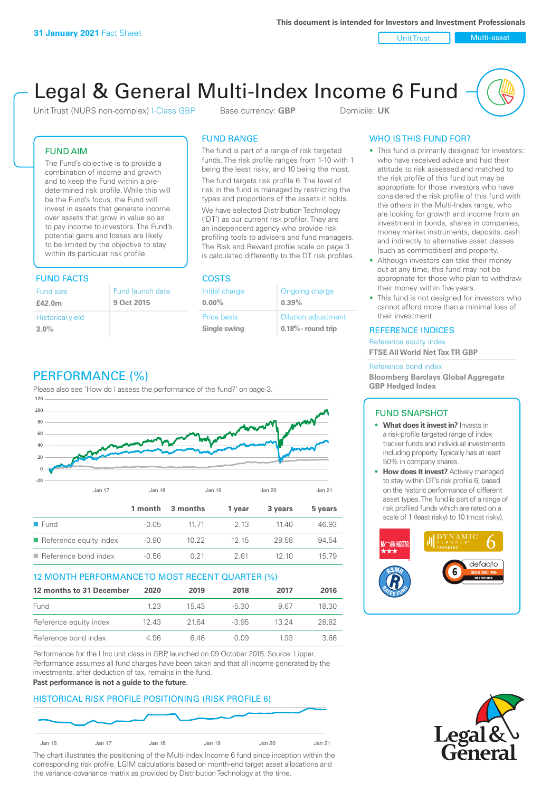Unit Trust Nulti-asset

# Legal & General Multi-Index Income 6 Fund

Unit Trust (NURS non-complex) I-Class GBP Base currency: **GBP** Domicile: UK

### FUND AIM

The Fund's objective is to provide a combination of income and growth and to keep the Fund within a predetermined risk profile. While this will be the Fund's focus, the Fund will invest in assets that generate income over assets that grow in value so as to pay income to investors. The Fund's potential gains and losses are likely to be limited by the objective to stay within its particular risk profile.

### FUND FACTS COSTS

| Fund size<br>£42.0m     | Fund launch date<br>9 Oct 2015 |
|-------------------------|--------------------------------|
| <b>Historical yield</b> |                                |
| $3.0\%$                 |                                |

### FUND RANGE

The fund is part of a range of risk targeted funds. The risk profile ranges from 1-10 with 1 being the least risky, and 10 being the most.

The fund targets risk profile 6. The level of risk in the fund is managed by restricting the types and proportions of the assets it holds. We have selected Distribution Technology ('DT') as our current risk profiler. They are an independent agency who provide risk profiling tools to advisers and fund managers. The Risk and Reward profile scale on page 3 is calculated differently to the DT risk profiles.

**0.00%**

| Initial charge     | Ongoing charge             |
|--------------------|----------------------------|
| $0.00\%$           | 0.39%                      |
| <b>Price basis</b> | <b>Dilution adjustment</b> |
| Single swing       | $0.18\%$ - round trip      |

### PERFORMANCE (%)

Please also see 'How do I assess the performance of the fund?' on page 3.



### 12 MONTH PERFORMANCE TO MOST RECENT QUARTER (%)

| 12 months to 31 December | 2020 | 2019  | 2018    | 2017  | 2016  |
|--------------------------|------|-------|---------|-------|-------|
| Fund                     | 123  | 1543  | -5.30   | 967   | 18.30 |
| Reference equity index   | 1243 | 21.64 | $-3.95$ | 13 24 | 28.82 |
| Reference bond index     | 4.96 | 646   | O O.9   | 1.93  | 3.66  |

Performance for the I Inc unit class in GBP, launched on 09 October 2015. Source: Lipper. Performance assumes all fund charges have been taken and that all income generated by the investments, after deduction of tax, remains in the fund.

#### **Past performance is not a guide to the future.**

### HISTORICAL RISK PROFILE POSITIONING (RISK PROFILE 6)



The chart illustrates the positioning of the Multi-Index Income 6 fund since inception within the corresponding risk profile. LGIM calculations based on month-end target asset allocations and the variance-covariance matrix as provided by Distribution Technology at the time.

### WHO IS THIS FUND FOR?

- This fund is primarily designed for investors: who have received advice and had their attitude to risk assessed and matched to the risk profile of this fund but may be appropriate for those investors who have considered the risk profile of this fund with the others in the Multi-Index range; who are looking for growth and income from an investment in bonds, shares in companies, money market instruments, deposits, cash and indirectly to alternative asset classes (such as commodities) and property.
- Although investors can take their money out at any time, this fund may not be appropriate for those who plan to withdraw their money within five years.
- This fund is not designed for investors who cannot afford more than a minimal loss of their investment.

### REFERENCE INDICES

Reference equity index **FTSE All World Net Tax TR GBP**

#### Reference bond index

**Bloomberg Barclays Global Aggregate GBP Hedged Index**

### FUND SNAPSHOT

- **• What does it invest in?** Invests in a risk-profile targeted range of index tracker funds and individual investments including property. Typically has at least 50% in company shares.
- **• How does it invest?** Actively managed to stay within DT's risk profile 6, based on the historic performance of different asset types. The fund is part of a range of risk profiled funds which are rated on a scale of 1 (least risky) to 10 (most risky).



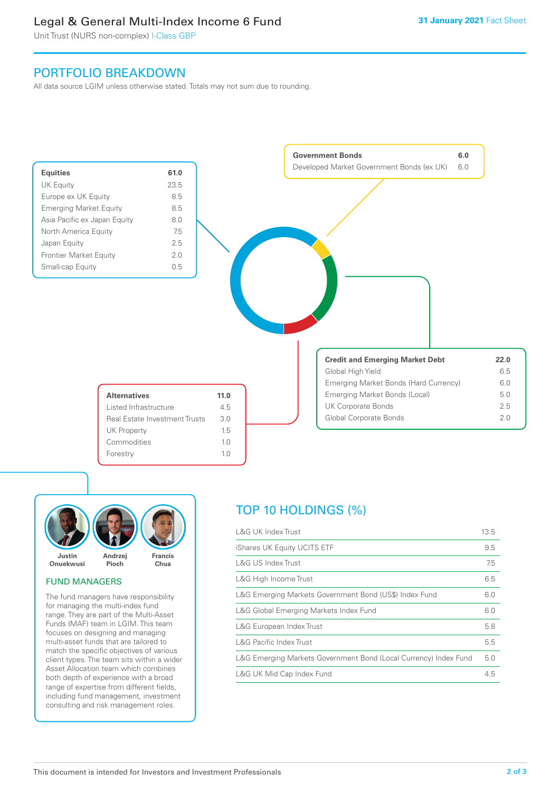### Legal & General Multi-Index Income 6 Fund

Unit Trust (NURS non-complex) I-Class GBP

### PORTFOLIO BREAKDOWN

All data source LGIM unless otherwise stated. Totals may not sum due to rounding.





### FUND MANAGERS

The fund managers have responsibility for managing the multi-index fund range. They are part of the Multi-Asset Funds (MAF) team in LGIM. This team focuses on designing and managing multi-asset funds that are tailored to match the specific objectives of various client types. The team sits within a wider Asset Allocation team which combines both depth of experience with a broad range of expertise from different fields, including fund management, investment consulting and risk management roles.

## TOP 10 HOLDINGS (%)

| <b>L&amp;G UK Index Trust</b>                                    | 13.5 |
|------------------------------------------------------------------|------|
| iShares UK Equity UCITS ETF                                      | 9.5  |
| <b>L&amp;G US Index Trust</b>                                    | 7.5  |
| L&G High Income Trust                                            | 6.5  |
| L&G Emerging Markets Government Bond (US\$) Index Fund           | 6.0  |
| L&G Global Emerging Markets Index Fund                           | 6.0  |
| L&G European Index Trust                                         | 5.8  |
| <b>L&amp;G Pacific Index Trust</b>                               | 5.5  |
| L&G Emerging Markets Government Bond (Local Currency) Index Fund | 5.0  |
| L&G UK Mid Cap Index Fund                                        | 4.5  |